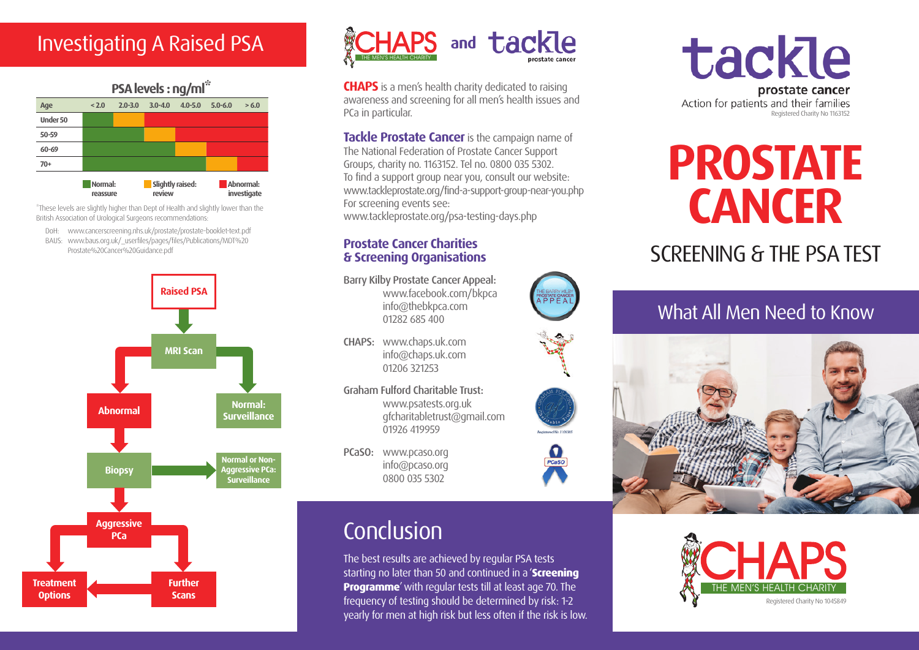

\*These levels are slightly higher than Dept of Health and slightly lower than the British Association of Urological Surgeons recommendations:

- DoH: www.cancerscreening.nhs.uk/prostate/prostate-booklet-text.pdf
- BAUS: www.baus.org.uk/\_userfiles/pages/files/Publications/MDT%20 Prostate%20Cancer%20Guidance.pdf





**CHAPS** is a men's health charity dedicated to raising awareness and screening for all men's health issues and PCa in particular.

**Tackle Prostate Cancer** is the campaign name of The National Federation of Prostate Cancer Support Groups, charity no. 1163152. Tel no. 0800 035 5302. To find a support group near you, consult our website: www.tackleprostate.org/find-a-support-group-near-you.php For screening events see: www.tackleprostate.org/psa-testing-days.php

### **Prostate Cancer Charities & Screening Organisations**

Barry Kilby Prostate Cancer Appeal: www.facebook.com/bkpca info@thebkpca.com 01282 685 400

- CHAPS: www.chaps.uk.com info@chaps.uk.com 01206 321253
- Graham Fulford Charitable Trust: www.psatests.org.uk gfcharitabletrust@gmail.com 01926 419959
- PCaSO: www.pcaso.org info@pcaso.org 0800 035 5302

# **Conclusion**

The best results are achieved by regular PSA tests starting no later than 50 and continued in a '**Screening Programme**' with regular tests till at least age 70. The frequency of testing should be determined by risk: 1-2 yearly for men at high risk but less often if the risk is low. tackle prostate cancer Action for patients and their families Registered Charity No 1163152

# **PROSTATE CANCER**

# SCREENING & THE PSA TEST

## What All Men Need to Know











 $\Omega$